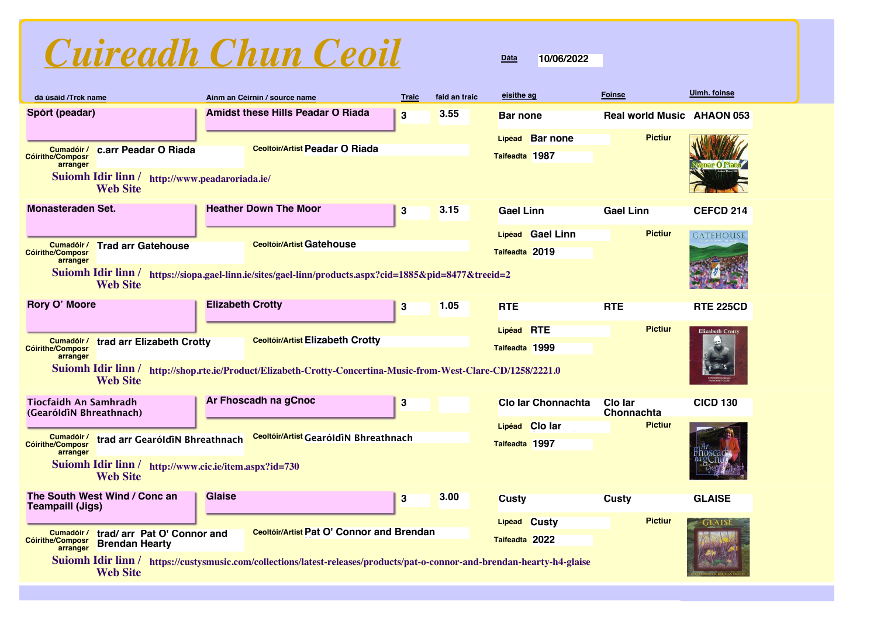

| dá úsáid /Trck name                                                                                                                          |                                                                                                                                                                                                           |                         | Ainm an Céirnín / source name                                                       | <b>Traic</b>     | faid an traic | eisithe ag                                  | <b>Foinse</b>                     | Uimh. foinse            |
|----------------------------------------------------------------------------------------------------------------------------------------------|-----------------------------------------------------------------------------------------------------------------------------------------------------------------------------------------------------------|-------------------------|-------------------------------------------------------------------------------------|------------------|---------------|---------------------------------------------|-----------------------------------|-------------------------|
| Spórt (peadar)                                                                                                                               |                                                                                                                                                                                                           |                         | <b>Amidst these Hills Peadar O Riada</b>                                            | $\bf{3}$         | 3.55          | <b>Bar none</b>                             | <b>Real world Music AHAON 053</b> |                         |
| Cumadóir /<br><b>Cóirithe/Composr</b><br>arranger                                                                                            | c.arr Peadar O Riada<br>Suiomh Idir linn / http://www.peadaroriada.ie/                                                                                                                                    |                         | <b>Ceoltóir/Artist Peadar O Riada</b>                                               |                  |               | <b>Bar none</b><br>Lipéad<br>Taifeadta 1987 | <b>Pictiur</b>                    |                         |
| <b>Monasteraden Set.</b>                                                                                                                     | <b>Web Site</b>                                                                                                                                                                                           |                         | <b>Heather Down The Moor</b>                                                        | $\bf{3}$         | 3.15          | <b>Gael Linn</b>                            | <b>Gael Linn</b>                  | <b>CEFCD 214</b>        |
| Cumadóir /<br><b>Cóirithe/Composr</b><br>arranger                                                                                            | <b>Trad arr Gatehouse</b>                                                                                                                                                                                 |                         | <b>Ceoltóir/Artist Gatehouse</b>                                                    |                  |               | Lipéad Gael Linn<br>Taifeadta 2019          | <b>Pictiur</b>                    | GATEHOUSE               |
| Suiomh Idir linn/                                                                                                                            | <b>Web Site</b>                                                                                                                                                                                           |                         | https://siopa.gael-linn.ie/sites/gael-linn/products.aspx?cid=1885&pid=8477&treeid=2 |                  |               |                                             |                                   |                         |
| Rory O' Moore                                                                                                                                |                                                                                                                                                                                                           | <b>Elizabeth Crotty</b> |                                                                                     | 3                | 1.05          | <b>RTE</b>                                  | <b>RTE</b>                        | <b>RTE 225CD</b>        |
| Cumadóir /<br><b>Cóirithe/Composr</b><br>arranger                                                                                            | <b>Ceoltóir/Artist Elizabeth Crotty</b><br>trad arr Elizabeth Crotty<br>Suiomh Idir linn / http://shop.rte.ie/Product/Elizabeth-Crotty-Concertina-Music-from-West-Clare-CD/1258/2221.0<br><b>Web Site</b> |                         |                                                                                     |                  |               | Lipéad RTE<br>Taifeadta 1999                | <b>Pictiur</b>                    | <b>Elizabeth Crotty</b> |
| <b>Tiocfaidh An Samhradh</b><br>(GearóldiN Bhreathnach)                                                                                      |                                                                                                                                                                                                           |                         | Ar Fhoscadh na gCnoc                                                                | 3                |               | <b>Clo Iar Chonnachta</b>                   | Clo lar<br>Chonnachta             | <b>CICD 130</b>         |
| Cumadóir /<br><b>Cóirithe/Composr</b><br>arranger                                                                                            | trad arr GearóldiN Bhreathnach<br>Suiomh Idir linn / http://www.cic.ie/item.aspx?id=730<br><b>Web Site</b>                                                                                                |                         | Ceoltóir/Artist GearóldiN Bhreathnach                                               |                  |               | <b>Clo lar</b><br>Lipéad<br>Taifeadta 1997  | <b>Pictiur</b>                    |                         |
| <b>Teampaill (Jigs)</b>                                                                                                                      | The South West Wind / Conc an                                                                                                                                                                             | <b>Glaise</b>           |                                                                                     | $\boldsymbol{3}$ | 3.00          | <b>Custy</b>                                | <b>Custy</b>                      | <b>GLAISE</b>           |
| Cumadóir /<br>Cóirithe/Composr<br>arranger                                                                                                   | trad/ arr Pat O' Connor and<br><b>Brendan Hearty</b>                                                                                                                                                      |                         | Ceoltóir/Artist Pat O' Connor and Brendan                                           |                  |               | Lipéad Custy<br>Taifeadta 2022              | <b>Pictiur</b>                    |                         |
| Suiomh Idir linn / https://custysmusic.com/collections/latest-releases/products/pat-o-connor-and-brendan-hearty-h4-glaise<br><b>Web Site</b> |                                                                                                                                                                                                           |                         |                                                                                     |                  |               |                                             |                                   |                         |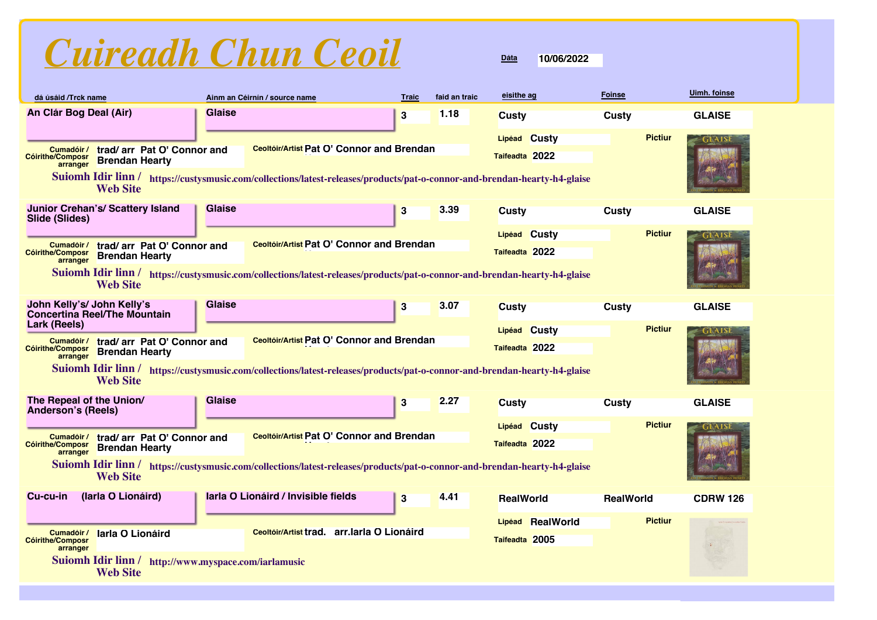

| dá úsáid /Trck name                                                                                       |                                                                         |               | Ainm an Céirnín / source name                                                                                             | <b>Traic</b> | faid an traic | eisithe ag                     | <b>Foinse</b>    |                | <b>Uimh. foinse</b> |
|-----------------------------------------------------------------------------------------------------------|-------------------------------------------------------------------------|---------------|---------------------------------------------------------------------------------------------------------------------------|--------------|---------------|--------------------------------|------------------|----------------|---------------------|
| An Clár Bog Deal (Air)                                                                                    |                                                                         | <b>Glaise</b> |                                                                                                                           | $\bf{3}$     | 1.18          | <b>Custy</b>                   | <b>Custy</b>     |                | <b>GLAISE</b>       |
| Cumadóir /<br><b>Cóirithe/Composr</b>                                                                     | trad/ arr Pat O' Connor and<br><b>Brendan Hearty</b>                    |               | Ceoltóir/Artist Pat O' Connor and Brendan                                                                                 |              |               | Lipéad Custy<br>Taifeadta 2022 |                  | <b>Pictiur</b> | <b>GLAIS</b>        |
| arranger                                                                                                  | <b>Web Site</b>                                                         |               | Suiomh Idir linn / https://custysmusic.com/collections/latest-releases/products/pat-o-connor-and-brendan-hearty-h4-glaise |              |               |                                |                  |                |                     |
| Slide (Slides)                                                                                            | <b>Junior Crehan's/ Scattery Island</b>                                 | <b>Glaise</b> |                                                                                                                           | 3            | 3.39          | <b>Custy</b>                   | Custy            |                | <b>GLAISE</b>       |
| Cumadóir /                                                                                                | trad/ arr Pat O' Connor and                                             |               | Ceoltóir/Artist Pat O' Connor and Brendan                                                                                 |              |               | Lipéad Custy                   |                  | <b>Pictiur</b> | GLAIS               |
| <b>Cóirithe/Composr</b><br>arranger                                                                       | <b>Brendan Hearty</b>                                                   |               |                                                                                                                           |              |               | Taifeadta 2022                 |                  |                |                     |
|                                                                                                           | <b>Web Site</b>                                                         |               | Suiomh Idir linn / https://custysmusic.com/collections/latest-releases/products/pat-o-connor-and-brendan-hearty-h4-glaise |              |               |                                |                  |                |                     |
| John Kelly's/ John Kelly's                                                                                | <b>Concertina Reel/The Mountain</b>                                     | <b>Glaise</b> |                                                                                                                           | 3            | 3.07          | <b>Custy</b>                   | Custy            |                | <b>GLAISE</b>       |
| Lark (Reels)                                                                                              |                                                                         |               |                                                                                                                           |              |               | Lipéad Custy                   |                  | <b>Pictiur</b> | GLAIS               |
| Cumadóir /<br>trad/ arr Pat O' Connor and<br><b>Cóirithe/Composr</b><br><b>Brendan Hearty</b><br>arranger |                                                                         |               | <b>Ceoltóir/Artist Pat O' Connor and Brendan</b>                                                                          |              |               | Taifeadta 2022                 |                  |                |                     |
|                                                                                                           | <b>Web Site</b>                                                         |               | Suiomh Idir linn / https://custysmusic.com/collections/latest-releases/products/pat-o-connor-and-brendan-hearty-h4-glaise |              |               |                                |                  |                |                     |
| The Repeal of the Union/<br><b>Anderson's (Reels)</b>                                                     |                                                                         | <b>Glaise</b> |                                                                                                                           | $\bf{3}$     | 2.27          | <b>Custy</b>                   | <b>Custy</b>     |                | <b>GLAISE</b>       |
|                                                                                                           |                                                                         |               | Ceoltóir/Artist Pat O' Connor and Brendan                                                                                 |              |               | Lipéad Custy                   |                  | <b>Pictiur</b> |                     |
| Cumadóir /<br><b>Cóirithe/Composr</b><br>arranger                                                         | trad/ arr Pat O' Connor and<br><b>Brendan Hearty</b>                    |               |                                                                                                                           |              |               | Taifeadta 2022                 |                  |                |                     |
|                                                                                                           | <b>Web Site</b>                                                         |               | Suiomh Idir linn / https://custysmusic.com/collections/latest-releases/products/pat-o-connor-and-brendan-hearty-h4-glaise |              |               |                                |                  |                |                     |
| Cu-cu-in                                                                                                  | (Iarla O Lionáird)                                                      |               | larla O Lionáird / Invisible fields                                                                                       | $\bf{3}$     | 4.41          | <b>RealWorld</b>               | <b>RealWorld</b> |                | <b>CDRW 126</b>     |
|                                                                                                           |                                                                         |               | Ceoltóir/Artist trad. arr.larla O Lionáird                                                                                |              |               | Lipéad RealWorld               |                  | <b>Pictiur</b> |                     |
| Cumadóir /<br><b>Cóirithe/Composr</b><br>arranger                                                         | larla O Lionáird                                                        |               |                                                                                                                           |              |               | Taifeadta 2005                 |                  |                |                     |
|                                                                                                           | Suiomh Idir linn / http://www.myspace.com/iarlamusic<br><b>Web Site</b> |               |                                                                                                                           |              |               |                                |                  |                |                     |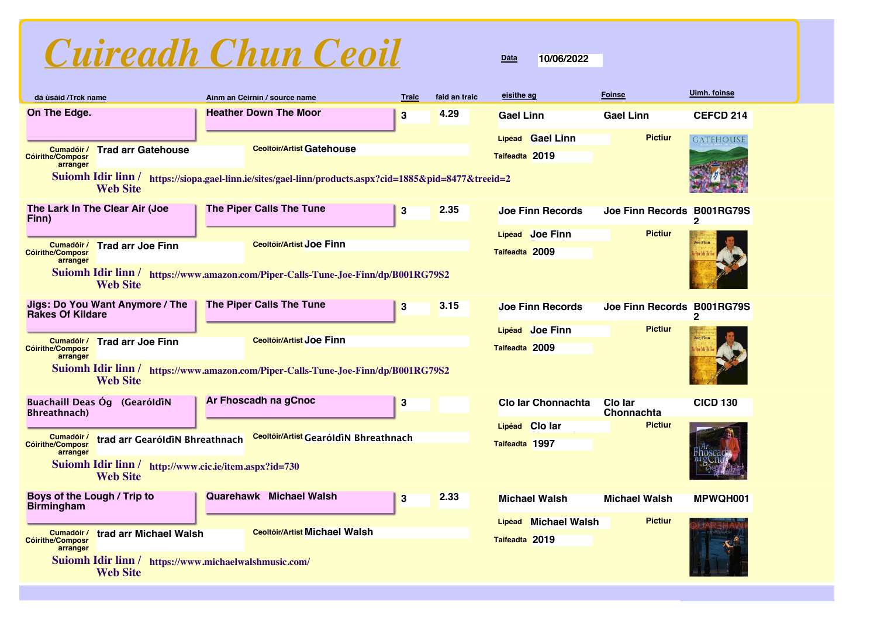| dá úsáid /Trck name                               |                                                                          | Ainm an Céirnín / source name                                                                          | <b>Traic</b>     | faid an traic | eisithe ag                             | <b>Foinse</b>              | Uimh. foinse          |
|---------------------------------------------------|--------------------------------------------------------------------------|--------------------------------------------------------------------------------------------------------|------------------|---------------|----------------------------------------|----------------------------|-----------------------|
| On The Edge.                                      |                                                                          | <b>Heather Down The Moor</b>                                                                           | $\bf{3}$         | 4.29          | <b>Gael Linn</b>                       | <b>Gael Linn</b>           | <b>CEFCD 214</b>      |
|                                                   |                                                                          |                                                                                                        |                  |               | Lipéad Gael Linn                       | <b>Pictiur</b>             | <b>GATEHOUSE</b>      |
| Cumadóir /<br><b>Cóirithe/Composr</b><br>arranger | <b>Trad arr Gatehouse</b>                                                | <b>Ceoltóir/Artist Gatehouse</b>                                                                       |                  |               | Taifeadta 2019                         |                            |                       |
|                                                   | <b>Web Site</b>                                                          | Suiomh Idir linn / https://siopa.gael-linn.ie/sites/gael-linn/products.aspx?cid=1885&pid=8477&treeid=2 |                  |               |                                        |                            |                       |
| Finn)                                             | The Lark In The Clear Air (Joe                                           | <b>The Piper Calls The Tune</b>                                                                        | $\bf{3}$         | 2.35          | <b>Joe Finn Records</b>                | <b>Joe Finn Records</b>    | <b>B001RG79S</b><br>2 |
|                                                   |                                                                          |                                                                                                        |                  |               | Lipéad Joe Finn                        | <b>Pictiur</b>             |                       |
| Cumadóir /<br><b>Cóirithe/Composr</b>             | <b>Trad arr Joe Finn</b>                                                 | <b>Ceoltóir/Artist Joe Finn</b>                                                                        |                  |               | Taifeadta 2009                         |                            |                       |
| arranger                                          | <b>Web Site</b>                                                          | Suiomh Idir linn / https://www.amazon.com/Piper-Calls-Tune-Joe-Finn/dp/B001RG79S2                      |                  |               |                                        |                            |                       |
| <b>Rakes Of Kildare</b>                           | Jigs: Do You Want Anymore / The                                          | <b>The Piper Calls The Tune</b>                                                                        | 3                | 3.15          | <b>Joe Finn Records</b>                | Joe Finn Records B001RG79S | 2                     |
|                                                   |                                                                          |                                                                                                        |                  |               | Lipéad Joe Finn                        | <b>Pictiur</b>             |                       |
| Cumadóir /<br><b>Cóirithe/Composr</b>             | <b>Trad arr Joe Finn</b>                                                 | <b>Ceoltóir/Artist Joe Finn</b>                                                                        |                  |               | Taifeadta 2009                         |                            |                       |
| arranger                                          | <b>Web Site</b>                                                          | Suiomh Idir linn / https://www.amazon.com/Piper-Calls-Tune-Joe-Finn/dp/B001RG79S2                      |                  |               |                                        |                            |                       |
| <b>Bhreathnach</b> )                              | Buachaill Deas Óg (GearóldiN                                             | Ar Fhoscadh na gCnoc                                                                                   | 3                |               | <b>Clo Iar Chonnachta</b>              | Clo lar<br>Chonnachta      | <b>CICD 130</b>       |
|                                                   |                                                                          |                                                                                                        |                  |               | Lipéad Clo lar                         | <b>Pictiur</b>             |                       |
| Cumadóir /<br><b>Cóirithe/Composr</b><br>arranger | trad arr GearóldiN Bhreathnach                                           | Ceoltóir/Artist GearóldiN Bhreathnach                                                                  |                  |               | Taifeadta 1997                         |                            |                       |
|                                                   | Suiomh Idir linn / http://www.cic.ie/item.aspx?id=730<br><b>Web Site</b> |                                                                                                        |                  |               |                                        |                            |                       |
| Boys of the Lough / Trip to<br><b>Birmingham</b>  |                                                                          | <b>Quarehawk</b> Michael Walsh                                                                         | $\boldsymbol{3}$ | 2.33          | <b>Michael Walsh</b>                   | <b>Michael Walsh</b>       | MPWQH001              |
| Cumadóir /<br><b>Cóirithe/Composr</b>             | trad arr Michael Walsh                                                   | <b>Ceoltóir/Artist Michael Walsh</b>                                                                   |                  |               | Lipéad Michael Walsh<br>Taifeadta 2019 | <b>Pictiur</b>             |                       |
| arranger                                          | Suiomh Idir linn / https://www.michaelwalshmusic.com/<br><b>Web Site</b> |                                                                                                        |                  |               |                                        |                            |                       |

**Web Site**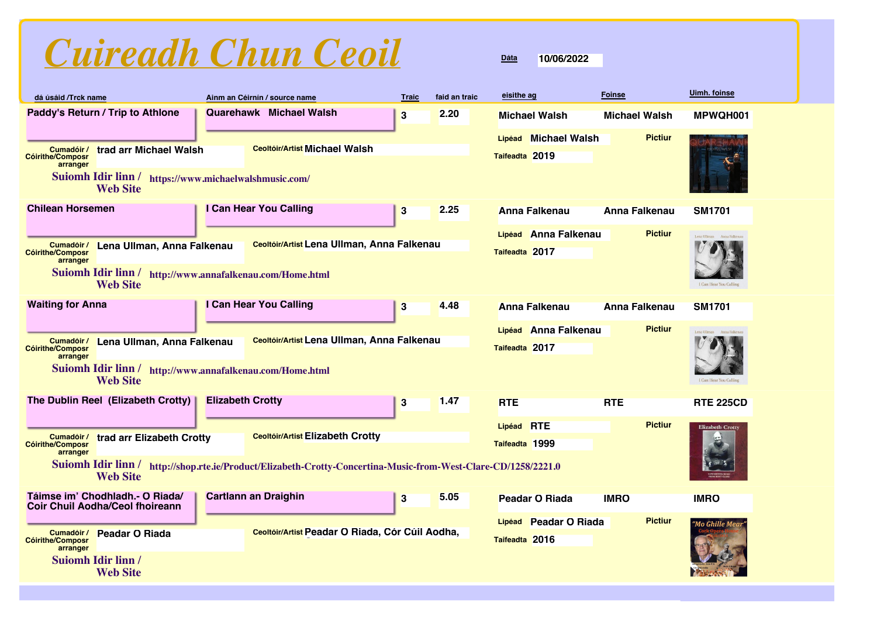|  | Cuireadh Chun Ceoil |  |  |
|--|---------------------|--|--|
|--|---------------------|--|--|

| dá úsáid /Trck name                               |                                                                             |                         | Ainm an Céirnín / source name                                                                                  | <b>Traic</b> | faid an traic | eisithe ag     |                       | <b>Foinse</b>        | Uimh. foinse              |
|---------------------------------------------------|-----------------------------------------------------------------------------|-------------------------|----------------------------------------------------------------------------------------------------------------|--------------|---------------|----------------|-----------------------|----------------------|---------------------------|
|                                                   | Paddy's Return / Trip to Athlone                                            |                         | <b>Quarehawk</b> Michael Walsh                                                                                 | 3            | 2.20          |                | <b>Michael Walsh</b>  | <b>Michael Walsh</b> | MPWQH001                  |
|                                                   |                                                                             |                         |                                                                                                                |              |               | Lipéad         | <b>Michael Walsh</b>  | <b>Pictiur</b>       |                           |
| Cumadóir /<br><b>Cóirithe/Composr</b><br>arranger | trad arr Michael Walsh                                                      |                         | <b>Ceoltóir/Artist Michael Walsh</b>                                                                           |              |               | Taifeadta 2019 |                       |                      |                           |
|                                                   | Suiomh Idir linn / https://www.michaelwalshmusic.com/<br><b>Web Site</b>    |                         |                                                                                                                |              |               |                |                       |                      |                           |
| <b>Chilean Horsemen</b>                           |                                                                             |                         | I Can Hear You Calling                                                                                         | 3            | 2.25          |                | <b>Anna Falkenau</b>  | <b>Anna Falkenau</b> | <b>SM1701</b>             |
|                                                   |                                                                             |                         |                                                                                                                |              |               |                | Lipéad Anna Falkenau  | <b>Pictiur</b>       | Lena Ullman Anna Falkenau |
| Cumadóir /<br><b>Cóirithe/Composr</b>             | Lena Ullman, Anna Falkenau                                                  |                         | Ceoltóir/Artist Lena Ullman, Anna Falkenau                                                                     |              |               | Taifeadta 2017 |                       |                      |                           |
| arranger                                          | <b>Suiomh Idir linn /</b><br><b>Web Site</b>                                |                         | http://www.annafalkenau.com/Home.html                                                                          |              |               |                |                       |                      | I Can Hear You Calling    |
| <b>Waiting for Anna</b>                           |                                                                             |                         | I Can Hear You Calling                                                                                         | 3            | 4.48          |                | <b>Anna Falkenau</b>  | <b>Anna Falkenau</b> | <b>SM1701</b>             |
|                                                   |                                                                             |                         |                                                                                                                |              |               |                | Lipéad Anna Falkenau  | <b>Pictiur</b>       |                           |
| Cumadóir /<br><b>Cóirithe/Composr</b>             | Lena Ullman, Anna Falkenau                                                  |                         | Ceoltóir/Artist Lena Ullman, Anna Falkenau                                                                     |              |               | Taifeadta 2017 |                       |                      | Lena Ullman Anna Falkenau |
| arranger                                          |                                                                             |                         |                                                                                                                |              |               |                |                       |                      |                           |
|                                                   | Suiomh Idir linn / http://www.annafalkenau.com/Home.html<br><b>Web Site</b> |                         |                                                                                                                |              |               |                |                       |                      | I Can Hear You Calling    |
|                                                   | The Dublin Reel (Elizabeth Crotty)                                          | <b>Elizabeth Crotty</b> |                                                                                                                | $\bf{3}$     | 1.47          | <b>RTE</b>     |                       | <b>RTE</b>           | <b>RTE 225CD</b>          |
|                                                   |                                                                             |                         |                                                                                                                |              |               | Lipéad         | <b>RTE</b>            | <b>Pictiur</b>       | <b>Elizabeth Crotty</b>   |
| Cumadóir /<br><b>Cóirithe/Composr</b>             | trad arr Elizabeth Crotty                                                   |                         | <b>Ceoltóir/Artist Elizabeth Crotty</b>                                                                        |              |               | Taifeadta 1999 |                       |                      |                           |
| arranger                                          |                                                                             |                         | Suiomh Idir linn / http://shop.rte.ie/Product/Elizabeth-Crotty-Concertina-Music-from-West-Clare-CD/1258/2221.0 |              |               |                |                       |                      | <b>C WILL S</b>           |
|                                                   | <b>Web Site</b>                                                             |                         |                                                                                                                |              |               |                |                       |                      |                           |
|                                                   | Táimse im' Chodhladh.- O Riada/<br><b>Coir Chuil Aodha/Ceol fhoireann</b>   |                         | <b>Cartlann an Draighin</b>                                                                                    | $\bf{3}$     | 5.05          |                | <b>Peadar O Riada</b> | <b>IMRO</b>          | <b>IMRO</b>               |
|                                                   |                                                                             |                         |                                                                                                                |              |               |                | Lipéad Peadar O Riada | <b>Pictiur</b>       | "Mo Ghille Mea            |
| Cumadóir /<br><b>Cóirithe/Composr</b><br>arranger | <b>Peadar O Riada</b>                                                       |                         | Ceoltóir/Artist Peadar O Riada, Cór Cúil Aodha,                                                                |              |               | Taifeadta 2016 |                       |                      |                           |
|                                                   | <b>Suiomh Idir linn /</b>                                                   |                         |                                                                                                                |              |               |                |                       |                      |                           |
|                                                   | <b>Web Site</b>                                                             |                         |                                                                                                                |              |               |                |                       |                      |                           |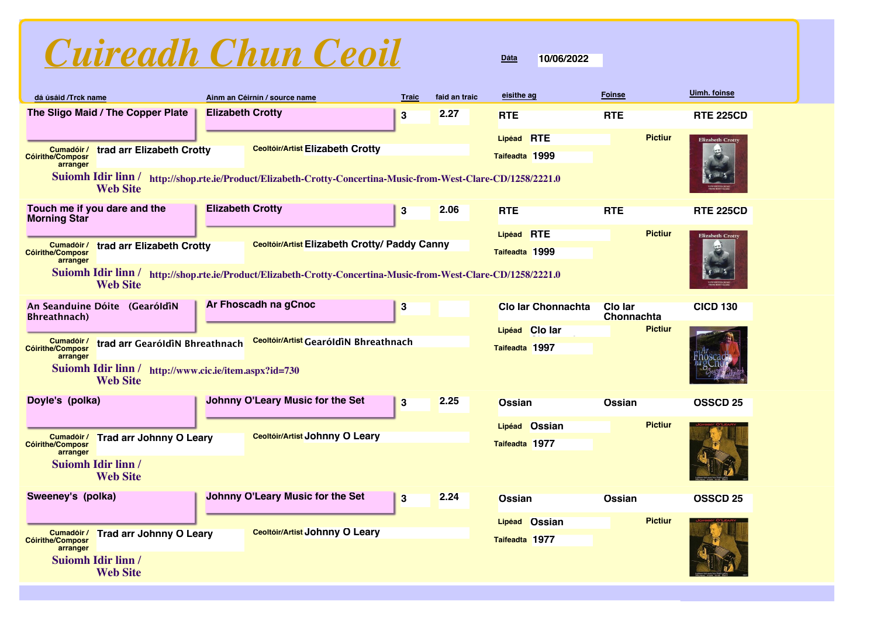

| dá úsáid /Trck name                               |                                                                          |                         | Ainm an Céirnín / source name                                                                                  | <b>Traic</b> | faid an traic | eisithe ag         | <b>Foinse</b>         | Uimh. foinse            |
|---------------------------------------------------|--------------------------------------------------------------------------|-------------------------|----------------------------------------------------------------------------------------------------------------|--------------|---------------|--------------------|-----------------------|-------------------------|
|                                                   | The Sligo Maid / The Copper Plate                                        | <b>Elizabeth Crotty</b> |                                                                                                                | 3            | 2.27          | <b>RTE</b>         | <b>RTE</b>            | <b>RTE 225CD</b>        |
|                                                   |                                                                          |                         |                                                                                                                |              |               | Lipéad RTE         | <b>Pictiur</b>        | <b>Elizabeth Crotty</b> |
| Cumadóir /<br><b>Cóirithe/Composr</b><br>arranger | trad arr Elizabeth Crotty                                                |                         | <b>Ceoltóir/Artist Elizabeth Crotty</b>                                                                        |              |               | Taifeadta 1999     |                       |                         |
|                                                   | <b>Web Site</b>                                                          |                         | Suiomh Idir linn / http://shop.rte.ie/Product/Elizabeth-Crotty-Concertina-Music-from-West-Clare-CD/1258/2221.0 |              |               |                    |                       |                         |
| <b>Morning Star</b>                               | Touch me if you dare and the                                             | <b>Elizabeth Crotty</b> |                                                                                                                | 3            | 2.06          | <b>RTE</b>         | <b>RTE</b>            | <b>RTE 225CD</b>        |
|                                                   |                                                                          |                         |                                                                                                                |              |               | Lipéad RTE         | <b>Pictiur</b>        | <b>Elizabeth Crotty</b> |
| Cumadóir /<br><b>Cóirithe/Composr</b>             | trad arr Elizabeth Crotty                                                |                         | Ceoltóir/Artist Elizabeth Crotty/ Paddy Canny                                                                  |              |               | Taifeadta 1999     |                       |                         |
| arranger                                          | <b>Web Site</b>                                                          |                         | Suiomh Idir linn / http://shop.rte.ie/Product/Elizabeth-Crotty-Concertina-Music-from-West-Clare-CD/1258/2221.0 |              |               |                    |                       |                         |
|                                                   | An Seanduine Dóite (GearóldiN                                            |                         | Ar Fhoscadh na gCnoc                                                                                           | $\bf{3}$     |               | Clo Iar Chonnachta | Clo lar<br>Chonnachta | <b>CICD 130</b>         |
| <b>Bhreathnach</b> )                              |                                                                          |                         |                                                                                                                |              |               | Lipéad Clo lar     | <b>Pictiur</b>        |                         |
| Cumadóir /<br><b>Cóirithe/Composr</b>             | trad arr GearóldiN Bhreathnach                                           |                         | Ceoltóir/Artist GearóldiN Bhreathnach                                                                          |              |               | Taifeadta 1997     |                       |                         |
| arranger                                          | Suiomh Idir linn / http://www.cic.ie/item.aspx?id=730<br><b>Web Site</b> |                         |                                                                                                                |              |               |                    |                       |                         |
| Doyle's (polka)                                   |                                                                          |                         | <b>Johnny O'Leary Music for the Set</b>                                                                        | 3            | 2.25          | <b>Ossian</b>      | <b>Ossian</b>         | <b>OSSCD 25</b>         |
|                                                   |                                                                          |                         |                                                                                                                |              |               | Lipéad Ossian      | <b>Pictiur</b>        |                         |
| Cumadóir /<br><b>Cóirithe/Composr</b>             | <b>Trad arr Johnny O Leary</b>                                           |                         | Ceoltóir/Artist Johnny O Leary                                                                                 |              |               | Taifeadta 1977     |                       |                         |
| arranger                                          | <b>Suiomh Idir linn /</b>                                                |                         |                                                                                                                |              |               |                    |                       |                         |
|                                                   | <b>Web Site</b>                                                          |                         |                                                                                                                |              |               |                    |                       |                         |
| Sweeney's (polka)                                 |                                                                          |                         | <b>Johnny O'Leary Music for the Set</b>                                                                        | $\bf{3}$     | 2.24          | <b>Ossian</b>      | <b>Ossian</b>         | <b>OSSCD 25</b>         |
|                                                   |                                                                          |                         |                                                                                                                |              |               | Lipéad Ossian      | <b>Pictiur</b>        |                         |
| Cumadóir /<br><b>Cóirithe/Composr</b><br>arranger | <b>Trad arr Johnny O Leary</b>                                           |                         | Ceoltóir/Artist Johnny O Leary                                                                                 |              |               | Taifeadta 1977     |                       |                         |
|                                                   | <b>Suiomh Idir linn /</b><br><b>Web Site</b>                             |                         |                                                                                                                |              |               |                    |                       |                         |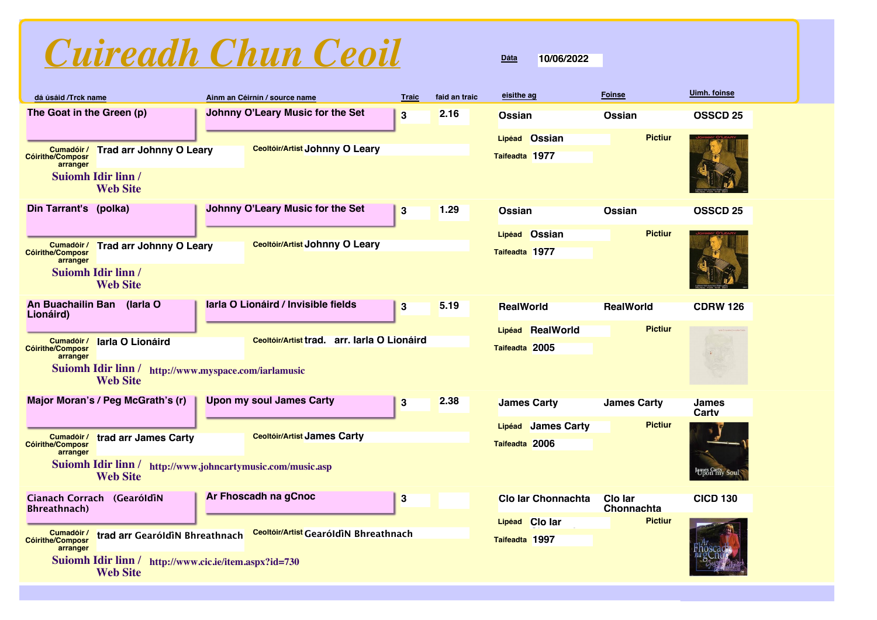| Cuireadh Chun Ceoil |  |  |
|---------------------|--|--|
|                     |  |  |

| dá úsáid /Trck name                               |                                                                                                                                                                                                                 |  | Ainm an Céirnín / source name           | <b>Traic</b> | faid an traic | eisithe ag                           | <b>Foinse</b>                | Uimh. foinse          |
|---------------------------------------------------|-----------------------------------------------------------------------------------------------------------------------------------------------------------------------------------------------------------------|--|-----------------------------------------|--------------|---------------|--------------------------------------|------------------------------|-----------------------|
| The Goat in the Green (p)                         |                                                                                                                                                                                                                 |  | <b>Johnny O'Leary Music for the Set</b> | $\bf{3}$     | 2.16          | <b>Ossian</b>                        | <b>Ossian</b>                | <b>OSSCD 25</b>       |
| Cumadóir /<br><b>Cóirithe/Composr</b><br>arranger | <b>Trad arr Johnny O Leary</b><br><b>Suiomh Idir linn/</b><br><b>Web Site</b>                                                                                                                                   |  | Ceoltóir/Artist Johnny O Leary          |              |               | Lipéad Ossian<br>Taifeadta 1977      | <b>Pictiur</b>               |                       |
| Din Tarrant's (polka)                             |                                                                                                                                                                                                                 |  | Johnny O'Leary Music for the Set        | $\bf{3}$     | 1.29          | <b>Ossian</b><br>Lipéad Ossian       | Ossian<br><b>Pictiur</b>     | <b>OSSCD 25</b>       |
| <b>Cóirithe/Composr</b><br>arranger               | Cumadóir/ Trad arr Johnny O Leary<br><b>Suiomh Idir linn/</b><br><b>Web Site</b>                                                                                                                                |  | Ceoltóir/Artist Johnny O Leary          |              |               | Taifeadta 1977                       |                              |                       |
| An Buachailin Ban (Iarla O<br>Lionáird)           |                                                                                                                                                                                                                 |  | larla O Lionáird / Invisible fields     | 3            | 5.19          | <b>RealWorld</b>                     | <b>RealWorld</b>             | <b>CDRW 126</b>       |
| Cumadóir /<br><b>Cóirithe/Composr</b><br>arranger | <b>Pictiur</b><br>RealWorld<br><b>Lipéad</b><br>arr. Iarla O Lionáird<br>Ceoltóir/Artist trad.<br>larla O Lionáird<br>Taifeadta 2005<br>Suiomh Idir linn / http://www.myspace.com/iarlamusic<br><b>Web Site</b> |  |                                         |              |               |                                      |                              |                       |
|                                                   | Major Moran's / Peg McGrath's (r)                                                                                                                                                                               |  | <b>Upon my soul James Carty</b>         | 3            | 2.38          | <b>James Carty</b>                   | <b>James Carty</b>           | <b>James</b><br>Cartv |
| Cumadóir /<br><b>Cóirithe/Composr</b><br>arranger | trad arr James Carty<br>Suiomh Idir linn / http://www.johncartymusic.com/music.asp<br><b>Web Site</b>                                                                                                           |  | <b>Ceoltóir/Artist James Carty</b>      |              |               | Lipéad James Carty<br>Taifeadta 2006 | <b>Pictiur</b>               | James Carty Soul      |
| <b>Bhreathnach</b> )                              | Cianach Corrach (GearóldiN                                                                                                                                                                                      |  | Ar Fhoscadh na gCnoc                    | $\bf{3}$     |               | <b>Clo Iar Chonnachta</b>            | <b>Clo lar</b><br>Chonnachta | <b>CICD 130</b>       |
| Cumadóir /<br><b>Cóirithe/Composr</b><br>arranger | trad arr GearóldiN Bhreathnach                                                                                                                                                                                  |  | Ceoltóir/Artist GearóldiN Bhreathnach   |              |               | Lipéad Clo lar<br>Taifeadta 1997     | <b>Pictiur</b>               |                       |
|                                                   | Suiomh Idir linn / http://www.cic.ie/item.aspx?id=730<br><b>Web Site</b>                                                                                                                                        |  |                                         |              |               |                                      |                              |                       |

**10/06/2022**

**Dáta**